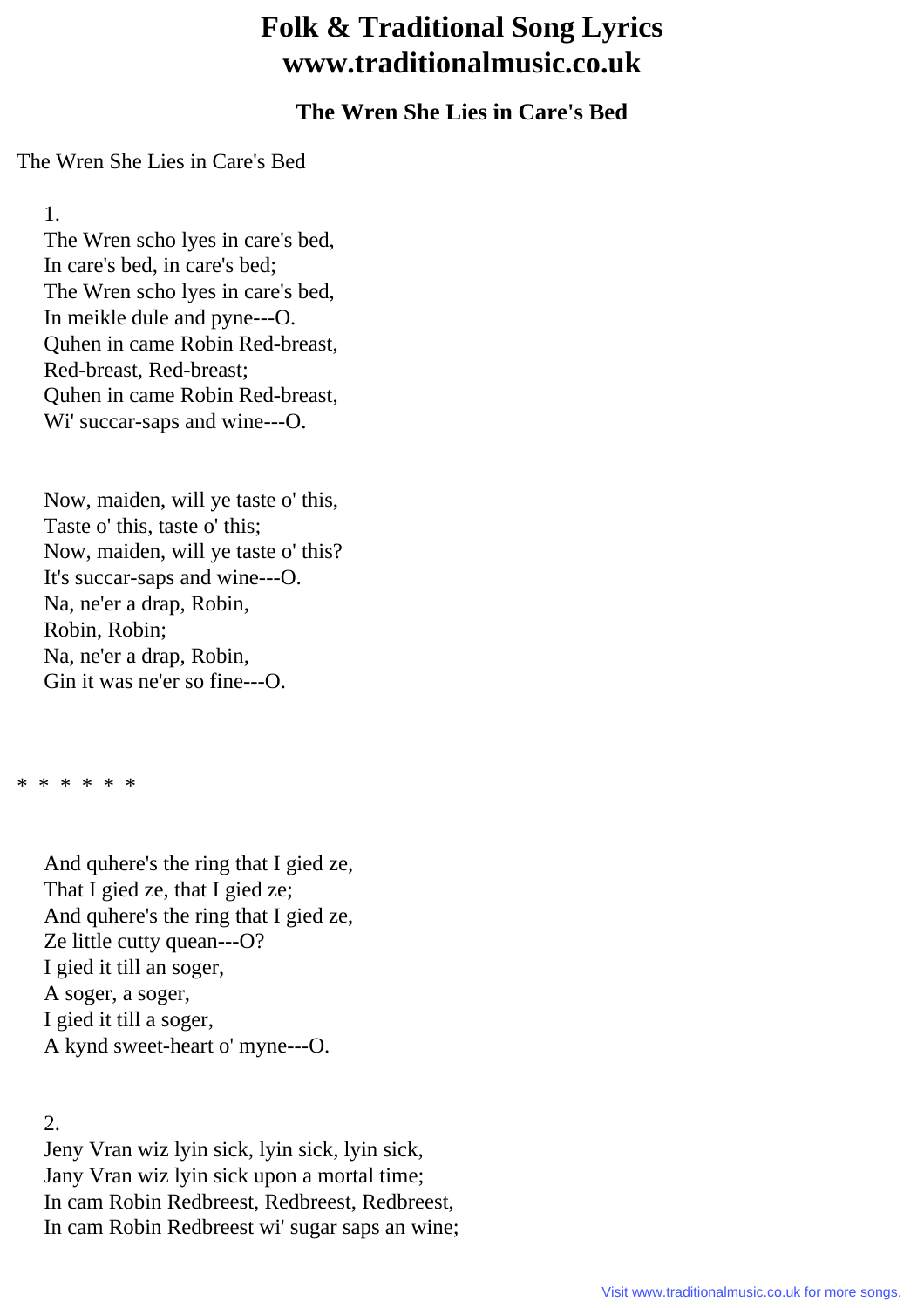## **Folk & Traditional Song Lyrics www.traditionalmusic.co.uk**

## **The Wren She Lies in Care's Bed**

The Wren She Lies in Care's Bed

1.

 The Wren scho lyes in care's bed, In care's bed, in care's bed; The Wren scho lyes in care's bed, In meikle dule and pyne---O. Quhen in came Robin Red-breast, Red-breast, Red-breast; Quhen in came Robin Red-breast, Wi' succar-saps and wine---O.

 Now, maiden, will ye taste o' this, Taste o' this, taste o' this; Now, maiden, will ye taste o' this? It's succar-saps and wine---O. Na, ne'er a drap, Robin, Robin, Robin; Na, ne'er a drap, Robin, Gin it was ne'er so fine---O.

\* \* \* \* \* \*

 And quhere's the ring that I gied ze, That I gied ze, that I gied ze; And quhere's the ring that I gied ze, Ze little cutty quean---O? I gied it till an soger, A soger, a soger, I gied it till a soger, A kynd sweet-heart o' myne---O.

2.

 Jeny Vran wiz lyin sick, lyin sick, lyin sick, Jany Vran wiz lyin sick upon a mortal time; In cam Robin Redbreest, Redbreest, Redbreest, In cam Robin Redbreest wi' sugar saps an wine;